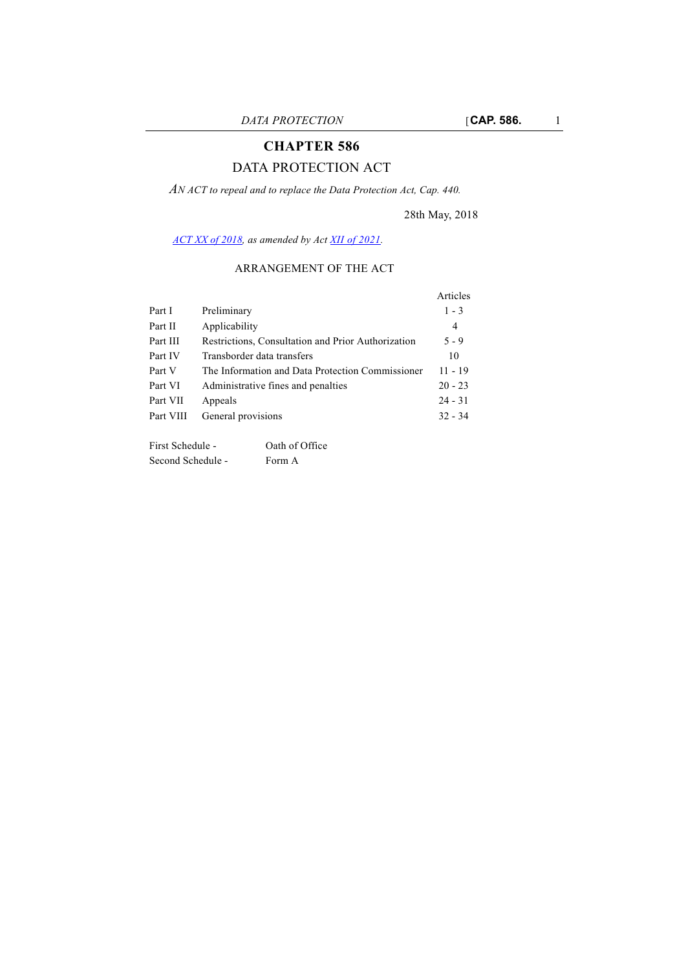# **CHAPTER 586**

# DATA PROTECTION ACT

*AN ACT to repeal and to replace the Data Protection Act, Cap. 440.*

28th May, 2018

*[ACT XX of 2018](http://www.justiceservices.gov.mt/DownloadDocument.aspx?app=lp&itemid=29097&l=1), as amended by Act [XII of 2021.](
https://legislation.mt/eli/act/2021/12/eng)*

#### ARRANGEMENT OF THE ACT

|           |                                                    | Articles       |
|-----------|----------------------------------------------------|----------------|
| Part I    | Preliminary                                        | $1 - 3$        |
| Part II   | Applicability                                      | $\overline{4}$ |
| Part III  | Restrictions, Consultation and Prior Authorization | $5 - 9$        |
| Part IV   | Transborder data transfers                         | 10             |
| Part V    | The Information and Data Protection Commissioner   | $11 - 19$      |
| Part VI   | Administrative fines and penalties                 | $20 - 23$      |
| Part VII  | Appeals                                            | $24 - 31$      |
| Part VIII | General provisions                                 | $32 - 34$      |

First Schedule - Oath of Office Second Schedule - Form A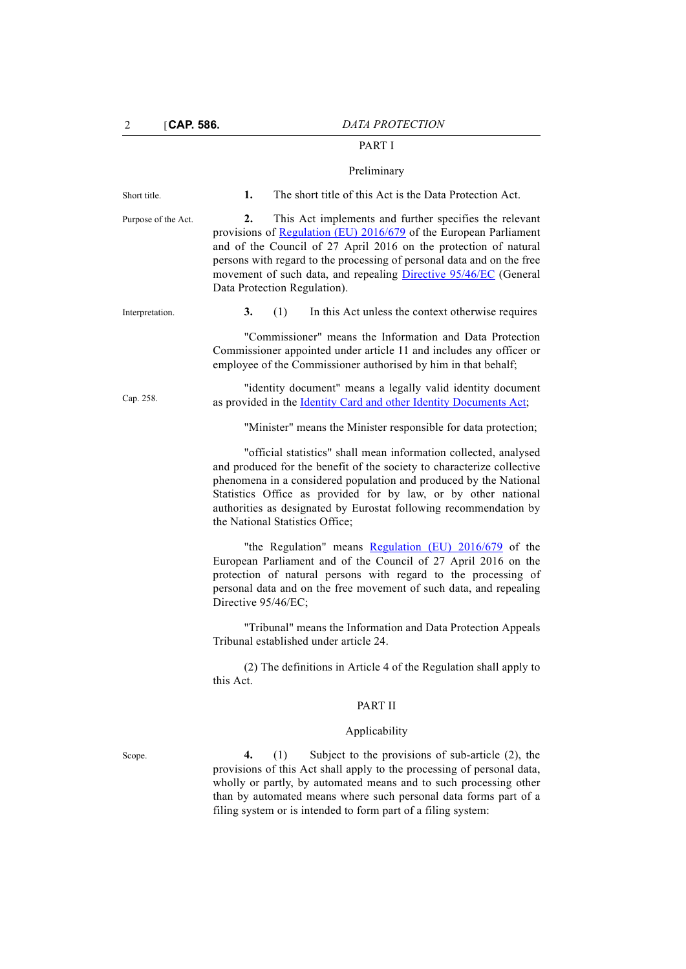# PART I

#### Preliminary

Short title. **1.** The short title of this Act is the Data Protection Act. Purpose of the Act. **2.** This Act implements and further specifies the relevant provisions of [Regulation \(EU\) 2016/679](https://eur-lex.europa.eu/legal-content/EN/TXT/?uri=uriserv:OJ.L_.2016.119.01.0001.01.ENG) of the European Parliament and of the Council of 27 April 2016 on the protection of natural persons with regard to the processing of personal data and on the free movement of such data, and repealing [Directive 95/46/EC](https://eur-lex.europa.eu/legal-content/en/TXT/?uri=CELEX%3A31995L0046) (General Data Protection Regulation). Interpretation. **3.** (1) In this Act unless the context otherwise requires "Commissioner" means the Information and Data Protection Commissioner appointed under article 11 and includes any officer or employee of the Commissioner authorised by him in that behalf; Cap. 258. ["identity document" means a legally valid identity document](http://www.justiceservices.gov.mt/DownloadDocument.aspx?app=lom&itemid=8751&l=1) [as provided in the I](http://www.justiceservices.gov.mt/DownloadDocument.aspx?app=lom&itemid=8751&l=1)dentity Card and other Identity Documents Act; "Minister" means the Minister responsible for data protection; "official statistics" shall mean information collected, analysed and produced for the benefit of the society to characterize collective phenomena in a considered population and produced by the National Statistics Office as provided for by law, or by other national authorities as designated by Eurostat following recommendation by the National Statistics Office; "the Regulation" means [Regulation \(EU\) 2016/679](https://eur-lex.europa.eu/legal-content/EN/TXT/?uri=uriserv:OJ.L_.2016.119.01.0001.01.ENG) of the European Parliament and of the Council of 27 April 2016 on the protection of natural persons with regard to the processing of personal data and on the free movement of such data, and repealing Directive 95/46/EC; "Tribunal" means the Information and Data Protection Appeals Tribunal established under article 24. (2) The definitions in Article 4 of the Regulation shall apply to this Act. PART II Applicability Scope. **4.** (1) Subject to the provisions of sub-article (2), the provisions of this Act shall apply to the processing of personal data, wholly or partly, by automated means and to such processing other than by automated means where such personal data forms part of a filing system or is intended to form part of a filing system: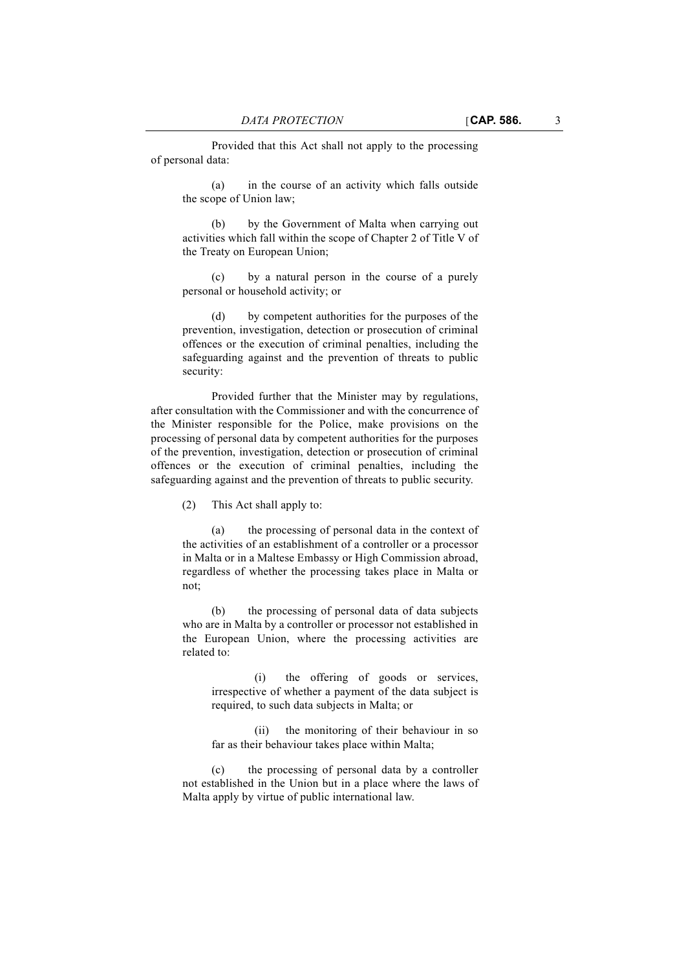Provided that this Act shall not apply to the processing of personal data:

(a) in the course of an activity which falls outside the scope of Union law;

(b) by the Government of Malta when carrying out activities which fall within the scope of Chapter 2 of Title V of the Treaty on European Union;

(c) by a natural person in the course of a purely personal or household activity; or

(d) by competent authorities for the purposes of the prevention, investigation, detection or prosecution of criminal offences or the execution of criminal penalties, including the safeguarding against and the prevention of threats to public security:

Provided further that the Minister may by regulations, after consultation with the Commissioner and with the concurrence of the Minister responsible for the Police, make provisions on the processing of personal data by competent authorities for the purposes of the prevention, investigation, detection or prosecution of criminal offences or the execution of criminal penalties, including the safeguarding against and the prevention of threats to public security.

(2) This Act shall apply to:

(a) the processing of personal data in the context of the activities of an establishment of a controller or a processor in Malta or in a Maltese Embassy or High Commission abroad, regardless of whether the processing takes place in Malta or not;

(b) the processing of personal data of data subjects who are in Malta by a controller or processor not established in the European Union, where the processing activities are related to:

(i) the offering of goods or services, irrespective of whether a payment of the data subject is required, to such data subjects in Malta; or

(ii) the monitoring of their behaviour in so far as their behaviour takes place within Malta;

(c) the processing of personal data by a controller not established in the Union but in a place where the laws of Malta apply by virtue of public international law.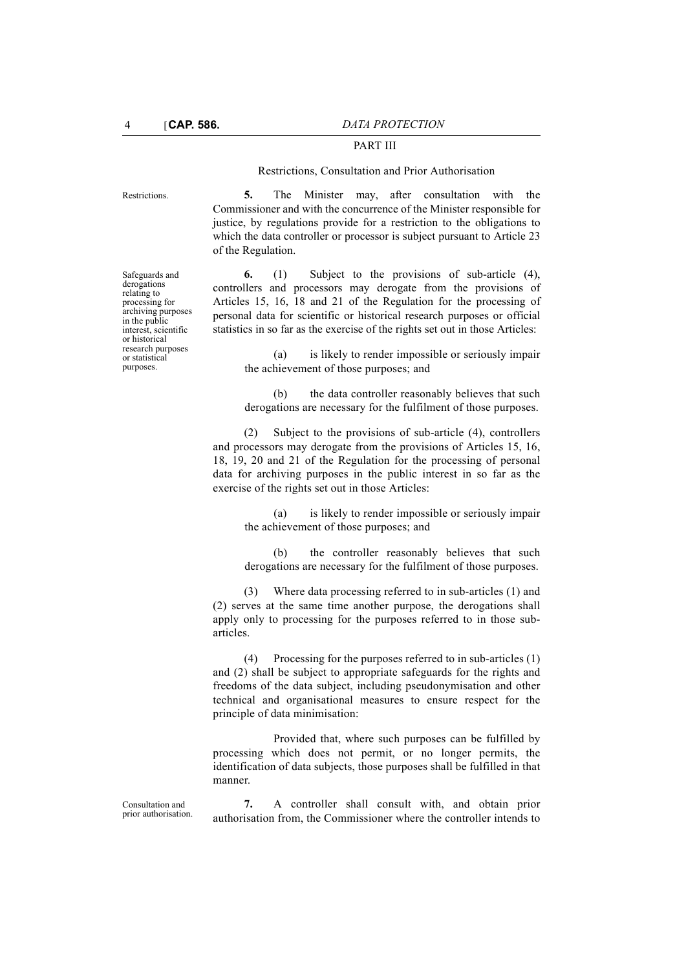# PART III

#### Restrictions, Consultation and Prior Authorisation

Restrictions. **5.** The Minister may, after consultation with the Commissioner and with the concurrence of the Minister responsible for justice, by regulations provide for a restriction to the obligations to which the data controller or processor is subject pursuant to Article 23 of the Regulation.

> **6.** (1) Subject to the provisions of sub-article (4), controllers and processors may derogate from the provisions of Articles 15, 16, 18 and 21 of the Regulation for the processing of personal data for scientific or historical research purposes or official statistics in so far as the exercise of the rights set out in those Articles:

(a) is likely to render impossible or seriously impair the achievement of those purposes; and

(b) the data controller reasonably believes that such derogations are necessary for the fulfilment of those purposes.

(2) Subject to the provisions of sub-article (4), controllers and processors may derogate from the provisions of Articles 15, 16, 18, 19, 20 and 21 of the Regulation for the processing of personal data for archiving purposes in the public interest in so far as the exercise of the rights set out in those Articles:

(a) is likely to render impossible or seriously impair the achievement of those purposes; and

(b) the controller reasonably believes that such derogations are necessary for the fulfilment of those purposes.

(3) Where data processing referred to in sub-articles (1) and (2) serves at the same time another purpose, the derogations shall apply only to processing for the purposes referred to in those subarticles.

(4) Processing for the purposes referred to in sub-articles (1) and (2) shall be subject to appropriate safeguards for the rights and freedoms of the data subject, including pseudonymisation and other technical and organisational measures to ensure respect for the principle of data minimisation:

Provided that, where such purposes can be fulfilled by processing which does not permit, or no longer permits, the identification of data subjects, those purposes shall be fulfilled in that manner.

**7.** A controller shall consult with, and obtain prior authorisation from, the Commissioner where the controller intends to

Safeguards and derogations relating to processing for archiving purposes in the public interest, scientific or historical research purposes or statistical purposes.

Consultation and prior authorisation.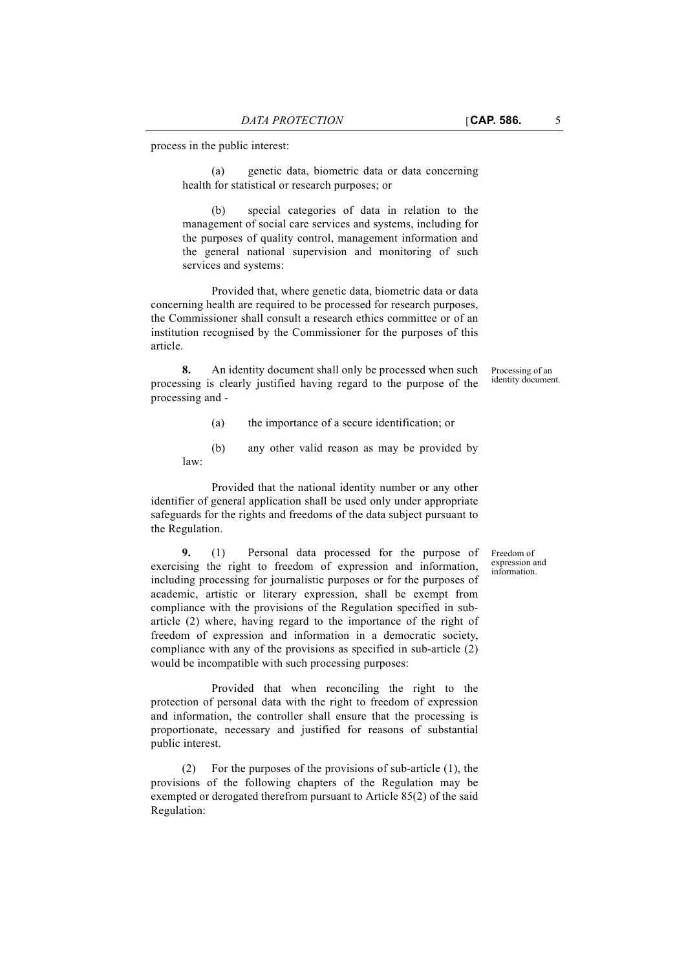(a) genetic data, biometric data or data concerning health for statistical or research purposes; or

(b) special categories of data in relation to the management of social care services and systems, including for the purposes of quality control, management information and the general national supervision and monitoring of such services and systems:

Provided that, where genetic data, biometric data or data concerning health are required to be processed for research purposes, the Commissioner shall consult a research ethics committee or of an institution recognised by the Commissioner for the purposes of this article.

**8.** An identity document shall only be processed when such processing is clearly justified having regard to the purpose of the processing and -

Processing of an identity document.

- (a) the importance of a secure identification; or
- (b) any other valid reason as may be provided by law:

Provided that the national identity number or any other identifier of general application shall be used only under appropriate safeguards for the rights and freedoms of the data subject pursuant to the Regulation.

**9.** (1) Personal data processed for the purpose of exercising the right to freedom of expression and information, including processing for journalistic purposes or for the purposes of academic, artistic or literary expression, shall be exempt from compliance with the provisions of the Regulation specified in subarticle (2) where, having regard to the importance of the right of freedom of expression and information in a democratic society, compliance with any of the provisions as specified in sub-article (2) would be incompatible with such processing purposes:

Provided that when reconciling the right to the protection of personal data with the right to freedom of expression and information, the controller shall ensure that the processing is proportionate, necessary and justified for reasons of substantial public interest.

(2) For the purposes of the provisions of sub-article (1), the provisions of the following chapters of the Regulation may be exempted or derogated therefrom pursuant to Article 85(2) of the said Regulation:

Freedom of expression and information.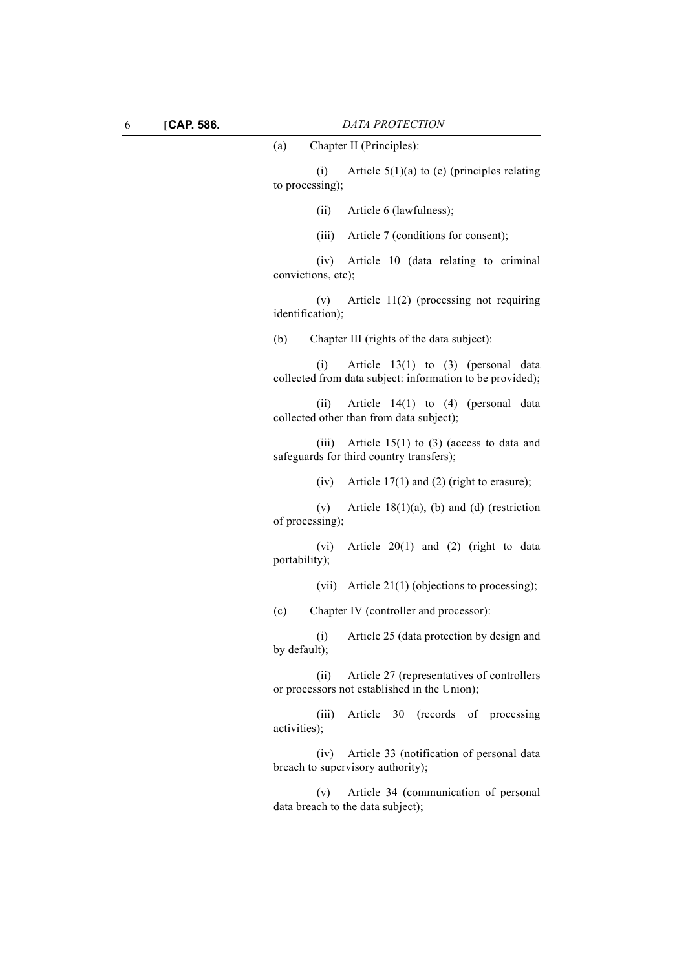(a) Chapter II (Principles): (i) Article  $5(1)(a)$  to (e) (principles relating to processing); (ii) Article 6 (lawfulness); (iii) Article 7 (conditions for consent); (iv) Article 10 (data relating to criminal convictions, etc); (v) Article 11(2) (processing not requiring identification); (b) Chapter III (rights of the data subject): (i) Article 13(1) to (3) (personal data collected from data subject: information to be provided); (ii) Article 14(1) to (4) (personal data collected other than from data subject); (iii) Article  $15(1)$  to (3) (access to data and safeguards for third country transfers); (iv) Article 17(1) and (2) (right to erasure); (v) Article 18(1)(a), (b) and (d) (restriction of processing); (vi) Article 20(1) and (2) (right to data portability); (vii) Article 21(1) (objections to processing); (c) Chapter IV (controller and processor): (i) Article 25 (data protection by design and by default); (ii) Article 27 (representatives of controllers or processors not established in the Union); (iii) Article 30 (records of processing activities); (iv) Article 33 (notification of personal data

> (v) Article 34 (communication of personal data breach to the data subject);

breach to supervisory authority);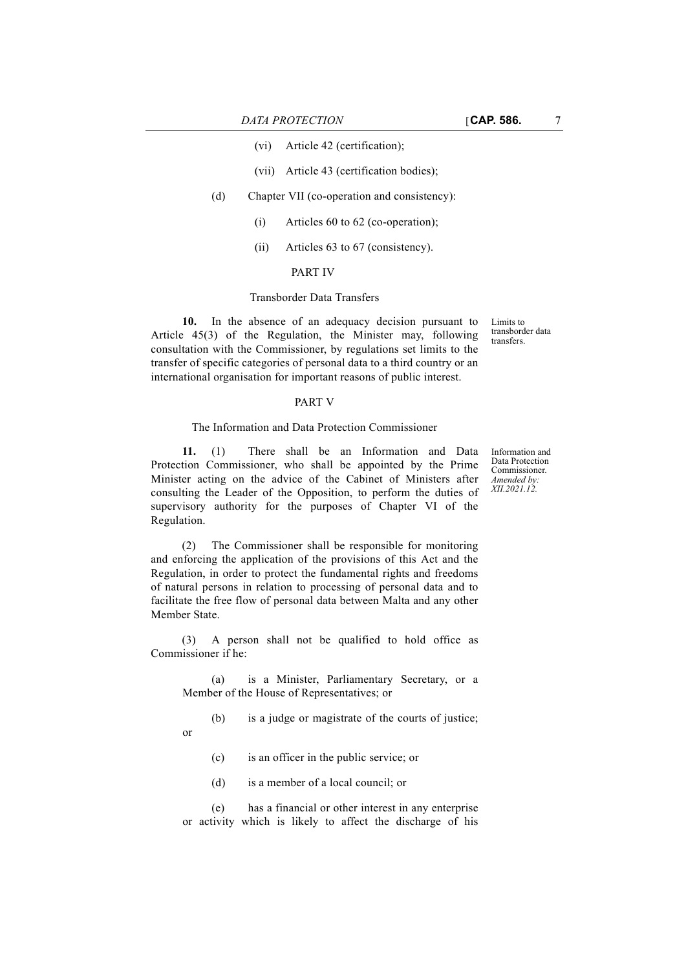- (vii) Article 43 (certification bodies);
- (d) Chapter VII (co-operation and consistency):
	- (i) Articles 60 to 62 (co-operation);
	- (ii) Articles 63 to 67 (consistency).

# PART IV

### Transborder Data Transfers

**10.** In the absence of an adequacy decision pursuant to Article 45(3) of the Regulation, the Minister may, following consultation with the Commissioner, by regulations set limits to the transfer of specific categories of personal data to a third country or an international organisation for important reasons of public interest.

#### PART V

#### The Information and Data Protection Commissioner

**11.** (1) There shall be an Information and Data Protection Commissioner, who shall be appointed by the Prime Minister acting on the advice of the Cabinet of Ministers after consulting the Leader of the Opposition, to perform the duties of supervisory authority for the purposes of Chapter VI of the Regulation.

(2) The Commissioner shall be responsible for monitoring and enforcing the application of the provisions of this Act and the Regulation, in order to protect the fundamental rights and freedoms of natural persons in relation to processing of personal data and to facilitate the free flow of personal data between Malta and any other Member State.

(3) A person shall not be qualified to hold office as Commissioner if he:

(a) is a Minister, Parliamentary Secretary, or a Member of the House of Representatives; or

(b) is a judge or magistrate of the courts of justice;

- (c) is an officer in the public service; or
- (d) is a member of a local council; or

or

(e) has a financial or other interest in any enterprise or activity which is likely to affect the discharge of his

Information and Data Protection Commissioner. *Amended by: XII.2021.12.*

Limits to transborder data transfers.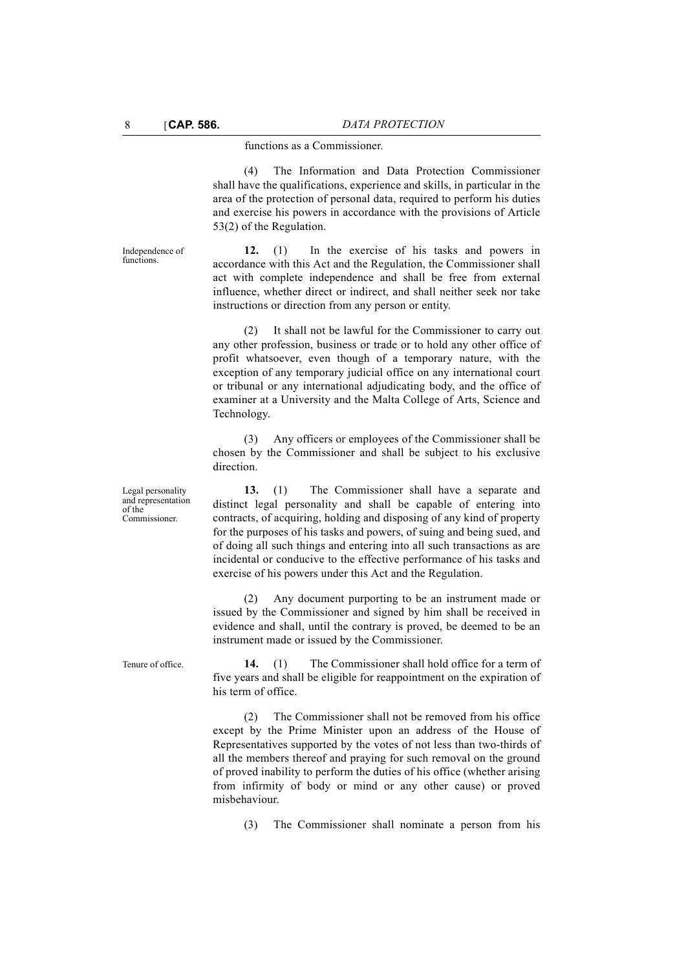#### functions as a Commissioner.

(4) The Information and Data Protection Commissioner shall have the qualifications, experience and skills, in particular in the area of the protection of personal data, required to perform his duties and exercise his powers in accordance with the provisions of Article 53(2) of the Regulation.

**12.** (1) In the exercise of his tasks and powers in accordance with this Act and the Regulation, the Commissioner shall act with complete independence and shall be free from external influence, whether direct or indirect, and shall neither seek nor take instructions or direction from any person or entity.

(2) It shall not be lawful for the Commissioner to carry out any other profession, business or trade or to hold any other office of profit whatsoever, even though of a temporary nature, with the exception of any temporary judicial office on any international court or tribunal or any international adjudicating body, and the office of examiner at a University and the Malta College of Arts, Science and Technology.

(3) Any officers or employees of the Commissioner shall be chosen by the Commissioner and shall be subject to his exclusive direction.

**13.** (1) The Commissioner shall have a separate and distinct legal personality and shall be capable of entering into contracts, of acquiring, holding and disposing of any kind of property for the purposes of his tasks and powers, of suing and being sued, and of doing all such things and entering into all such transactions as are incidental or conducive to the effective performance of his tasks and exercise of his powers under this Act and the Regulation.

(2) Any document purporting to be an instrument made or issued by the Commissioner and signed by him shall be received in evidence and shall, until the contrary is proved, be deemed to be an instrument made or issued by the Commissioner.

Tenure of office. **14.** (1) The Commissioner shall hold office for a term of five years and shall be eligible for reappointment on the expiration of his term of office.

> (2) The Commissioner shall not be removed from his office except by the Prime Minister upon an address of the House of Representatives supported by the votes of not less than two-thirds of all the members thereof and praying for such removal on the ground of proved inability to perform the duties of his office (whether arising from infirmity of body or mind or any other cause) or proved misbehaviour.

(3) The Commissioner shall nominate a person from his

Legal personality and representation of the Commissioner.

Independence of functions.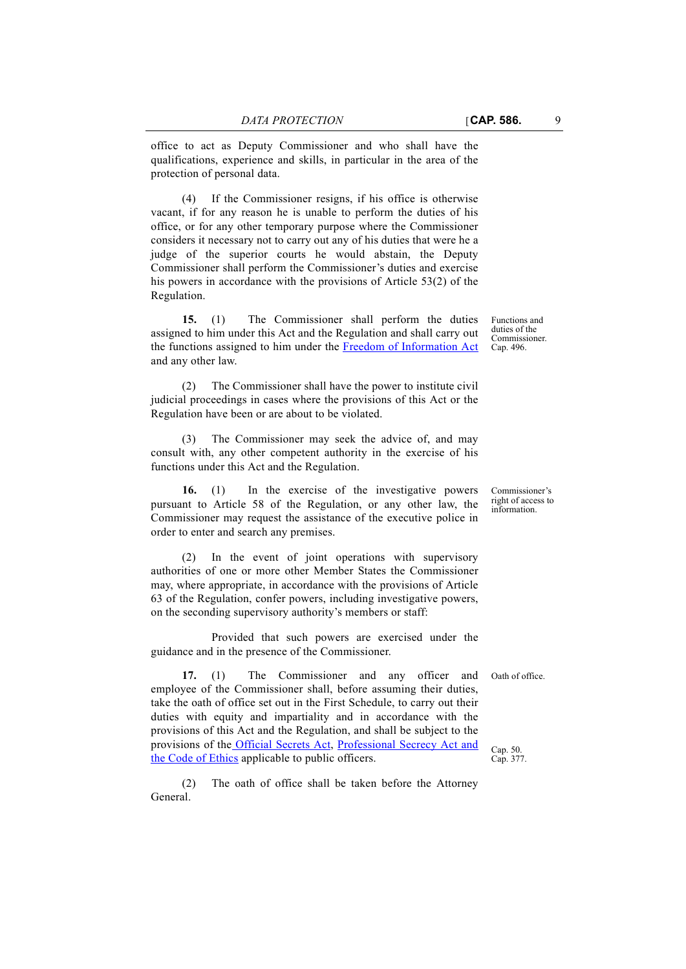office to act as Deputy Commissioner and who shall have the qualifications, experience and skills, in particular in the area of the protection of personal data.

(4) If the Commissioner resigns, if his office is otherwise vacant, if for any reason he is unable to perform the duties of his office, or for any other temporary purpose where the Commissioner considers it necessary not to carry out any of his duties that were he a judge of the superior courts he would abstain, the Deputy Commissioner shall perform the Commissioner's duties and exercise his powers in accordance with the provisions of Article 53(2) of the Regulation.

**15.** (1) The Commissioner shall perform the duties assigned to him under this Act and the Regulation and shall carry out the functions assigned to him under the [Freedom of Information Act](http://www.justiceservices.gov.mt/DownloadDocument.aspx?app=lom&itemid=8962&l=1) and any other law.

(2) The Commissioner shall have the power to institute civil judicial proceedings in cases where the provisions of this Act or the Regulation have been or are about to be violated.

The Commissioner may seek the advice of, and may consult with, any other competent authority in the exercise of his functions under this Act and the Regulation.

**16.** (1) In the exercise of the investigative powers pursuant to Article 58 of the Regulation, or any other law, the Commissioner may request the assistance of the executive police in order to enter and search any premises.

(2) In the event of joint operations with supervisory authorities of one or more other Member States the Commissioner may, where appropriate, in accordance with the provisions of Article 63 of the Regulation, confer powers, including investigative powers, on the seconding supervisory authority's members or staff:

Provided that such powers are exercised under the guidance and in the presence of the Commissioner.

**17.** (1) The Commissioner and any officer and employee of the Commissioner shall, before assuming their duties, take the oath of office set out in the First Schedule, to carry out their duties with equity and impartiality and in accordance with the provisions of this Act and the Regulation, and shall be subject to the provisions of th[e Official Secrets Act](http://www.justiceservices.gov.mt/DownloadDocument.aspx?app=lom&itemid=8605&l=1), [Professional Secrecy Act and](http://www.justiceservices.gov.mt/DownloadDocument.aspx?app=lom&itemid=8844&l=1) [the Code of Ethics](http://www.justiceservices.gov.mt/DownloadDocument.aspx?app=lom&itemid=8844&l=1) applicable to public officers.

(2) The oath of office shall be taken before the Attorney General.

Functions and duties of the Commissioner. Cap. 496.

Commissioner's right of access to information.

Oath of office.

Cap. 50. Cap. 377.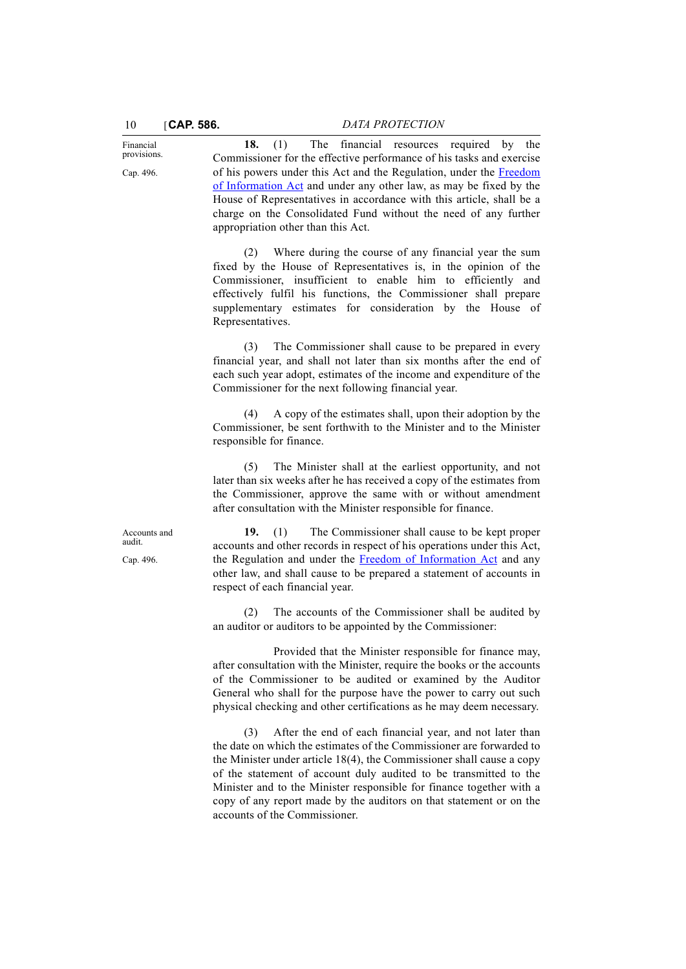Financial provisions. Cap. 496.

10 [**CAP. 586.** *DATA PROTECTION*

**18.** (1) The financial resources required by the Commissioner for the effective performance of his tasks and exercise of his powers under this Act and the Regulation, under the [Freedom](http://www.justiceservices.gov.mt/DownloadDocument.aspx?app=lom&itemid=8962&l=1) [of Information Act](http://www.justiceservices.gov.mt/DownloadDocument.aspx?app=lom&itemid=8962&l=1) and under any other law, as may be fixed by the House of Representatives in accordance with this article, shall be a charge on the Consolidated Fund without the need of any further appropriation other than this Act.

(2) Where during the course of any financial year the sum fixed by the House of Representatives is, in the opinion of the Commissioner, insufficient to enable him to efficiently and effectively fulfil his functions, the Commissioner shall prepare supplementary estimates for consideration by the House of Representatives.

(3) The Commissioner shall cause to be prepared in every financial year, and shall not later than six months after the end of each such year adopt, estimates of the income and expenditure of the Commissioner for the next following financial year.

(4) A copy of the estimates shall, upon their adoption by the Commissioner, be sent forthwith to the Minister and to the Minister responsible for finance.

(5) The Minister shall at the earliest opportunity, and not later than six weeks after he has received a copy of the estimates from the Commissioner, approve the same with or without amendment after consultation with the Minister responsible for finance.

**19.** (1) The Commissioner shall cause to be kept proper accounts and other records in respect of his operations under this Act, the Regulation and under the [Freedom of Information Act](http://www.justiceservices.gov.mt/DownloadDocument.aspx?app=lom&itemid=8962&l=1) and any other law, and shall cause to be prepared a statement of accounts in respect of each financial year.

(2) The accounts of the Commissioner shall be audited by an auditor or auditors to be appointed by the Commissioner:

Provided that the Minister responsible for finance may, after consultation with the Minister, require the books or the accounts of the Commissioner to be audited or examined by the Auditor General who shall for the purpose have the power to carry out such physical checking and other certifications as he may deem necessary.

(3) After the end of each financial year, and not later than the date on which the estimates of the Commissioner are forwarded to the Minister under article 18(4), the Commissioner shall cause a copy of the statement of account duly audited to be transmitted to the Minister and to the Minister responsible for finance together with a copy of any report made by the auditors on that statement or on the accounts of the Commissioner.

Accounts and audit. Cap. 496.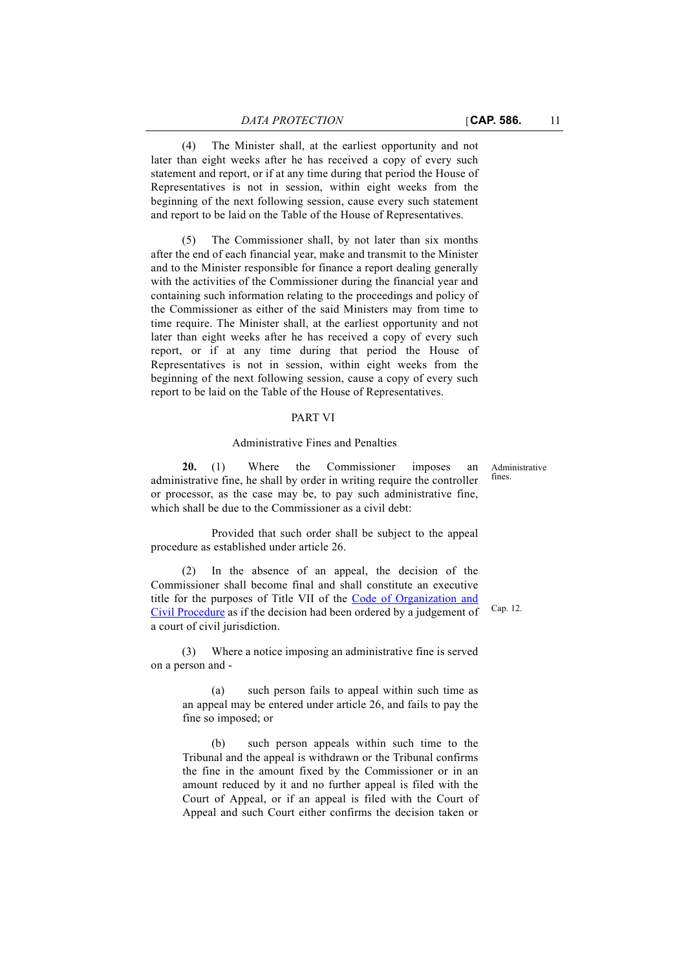(4) The Minister shall, at the earliest opportunity and not later than eight weeks after he has received a copy of every such statement and report, or if at any time during that period the House of Representatives is not in session, within eight weeks from the beginning of the next following session, cause every such statement and report to be laid on the Table of the House of Representatives.

(5) The Commissioner shall, by not later than six months after the end of each financial year, make and transmit to the Minister and to the Minister responsible for finance a report dealing generally with the activities of the Commissioner during the financial year and containing such information relating to the proceedings and policy of the Commissioner as either of the said Ministers may from time to time require. The Minister shall, at the earliest opportunity and not later than eight weeks after he has received a copy of every such report, or if at any time during that period the House of Representatives is not in session, within eight weeks from the beginning of the next following session, cause a copy of every such report to be laid on the Table of the House of Representatives.

#### PART VI

#### Administrative Fines and Penalties

**20.** (1) Where the Commissioner imposes an administrative fine, he shall by order in writing require the controller or processor, as the case may be, to pay such administrative fine, which shall be due to the Commissioner as a civil debt:

Provided that such order shall be subject to the appeal procedure as established under article 26.

(2) In the absence of an appeal, the decision of the Commissioner shall become final and shall constitute an executive title for the purposes of Title VII of the [Code of Organization and](http://www.justiceservices.gov.mt/DownloadDocument.aspx?app=lom&itemid=8577&l=1) [Civil Procedure](http://www.justiceservices.gov.mt/DownloadDocument.aspx?app=lom&itemid=8577&l=1) as if the decision had been ordered by a judgement of a court of civil jurisdiction.

(3) Where a notice imposing an administrative fine is served on a person and -

(a) such person fails to appeal within such time as an appeal may be entered under article 26, and fails to pay the fine so imposed; or

(b) such person appeals within such time to the Tribunal and the appeal is withdrawn or the Tribunal confirms the fine in the amount fixed by the Commissioner or in an amount reduced by it and no further appeal is filed with the Court of Appeal, or if an appeal is filed with the Court of Appeal and such Court either confirms the decision taken or

Administrative fines.

Cap. 12.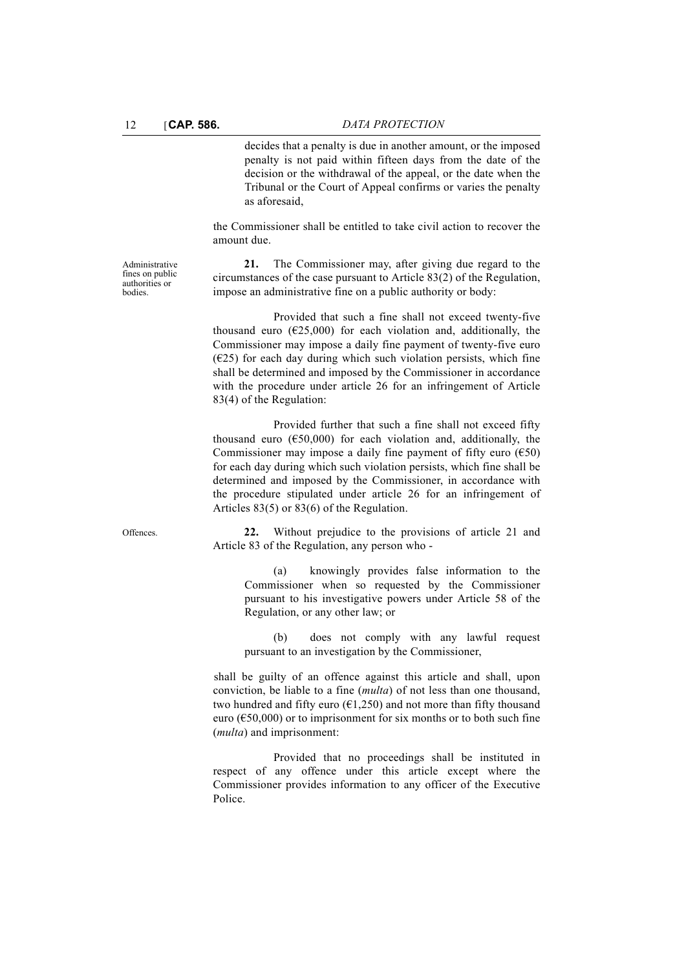Administrative fines on public authorities or bodies.

decides that a penalty is due in another amount, or the imposed penalty is not paid within fifteen days from the date of the decision or the withdrawal of the appeal, or the date when the Tribunal or the Court of Appeal confirms or varies the penalty as aforesaid,

the Commissioner shall be entitled to take civil action to recover the amount due.

**21.** The Commissioner may, after giving due regard to the circumstances of the case pursuant to Article 83(2) of the Regulation, impose an administrative fine on a public authority or body:

Provided that such a fine shall not exceed twenty-five thousand euro  $(625,000)$  for each violation and, additionally, the Commissioner may impose a daily fine payment of twenty-five euro  $(625)$  for each day during which such violation persists, which fine shall be determined and imposed by the Commissioner in accordance with the procedure under article 26 for an infringement of Article 83(4) of the Regulation:

Provided further that such a fine shall not exceed fifty thousand euro  $(650,000)$  for each violation and, additionally, the Commissioner may impose a daily fine payment of fifty euro  $(650)$ for each day during which such violation persists, which fine shall be determined and imposed by the Commissioner, in accordance with the procedure stipulated under article 26 for an infringement of Articles 83(5) or 83(6) of the Regulation.

Offences. **22.** Without prejudice to the provisions of article 21 and Article 83 of the Regulation, any person who -

> (a) knowingly provides false information to the Commissioner when so requested by the Commissioner pursuant to his investigative powers under Article 58 of the Regulation, or any other law; or

> (b) does not comply with any lawful request pursuant to an investigation by the Commissioner,

shall be guilty of an offence against this article and shall, upon conviction, be liable to a fine (*multa*) of not less than one thousand, two hundred and fifty euro ( $\epsilon$ 1,250) and not more than fifty thousand euro ( $\epsilon$ 50,000) or to imprisonment for six months or to both such fine (*multa*) and imprisonment:

Provided that no proceedings shall be instituted in respect of any offence under this article except where the Commissioner provides information to any officer of the Executive Police.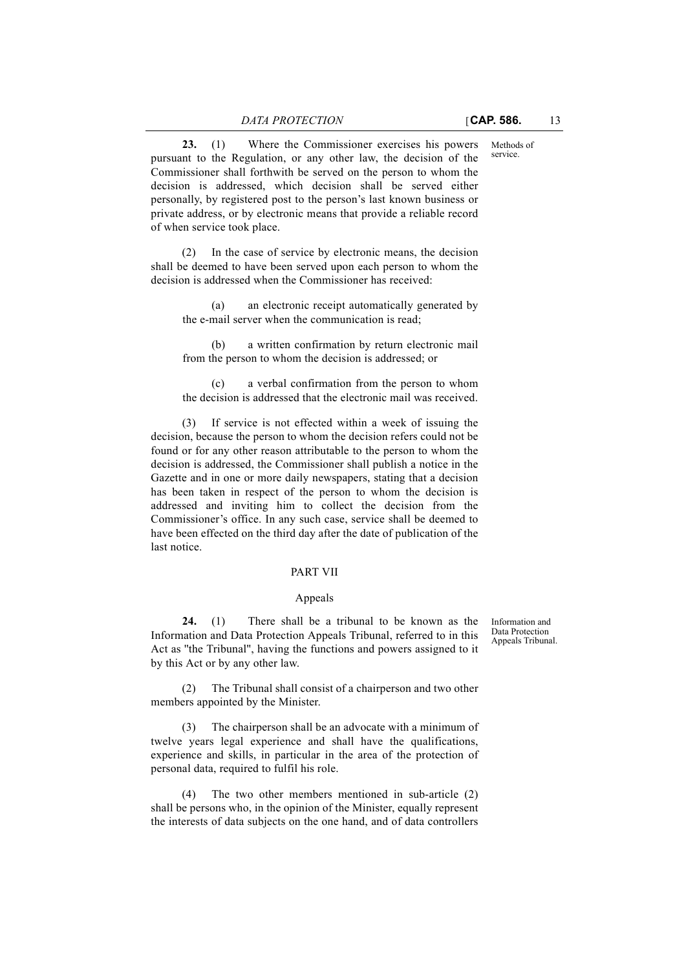Methods of service.

**23.** (1) Where the Commissioner exercises his powers pursuant to the Regulation, or any other law, the decision of the Commissioner shall forthwith be served on the person to whom the decision is addressed, which decision shall be served either personally, by registered post to the person's last known business or private address, or by electronic means that provide a reliable record of when service took place.

(2) In the case of service by electronic means, the decision shall be deemed to have been served upon each person to whom the decision is addressed when the Commissioner has received:

(a) an electronic receipt automatically generated by the e-mail server when the communication is read;

(b) a written confirmation by return electronic mail from the person to whom the decision is addressed; or

a verbal confirmation from the person to whom the decision is addressed that the electronic mail was received.

If service is not effected within a week of issuing the decision, because the person to whom the decision refers could not be found or for any other reason attributable to the person to whom the decision is addressed, the Commissioner shall publish a notice in the Gazette and in one or more daily newspapers, stating that a decision has been taken in respect of the person to whom the decision is addressed and inviting him to collect the decision from the Commissioner's office. In any such case, service shall be deemed to have been effected on the third day after the date of publication of the last notice.

# PART VII

#### Appeals

**24.** (1) There shall be a tribunal to be known as the Information and Data Protection Appeals Tribunal, referred to in this Act as ''the Tribunal'', having the functions and powers assigned to it by this Act or by any other law.

Information and Data Protection Appeals Tribunal.

(2) The Tribunal shall consist of a chairperson and two other members appointed by the Minister.

(3) The chairperson shall be an advocate with a minimum of twelve years legal experience and shall have the qualifications, experience and skills, in particular in the area of the protection of personal data, required to fulfil his role.

(4) The two other members mentioned in sub-article (2) shall be persons who, in the opinion of the Minister, equally represent the interests of data subjects on the one hand, and of data controllers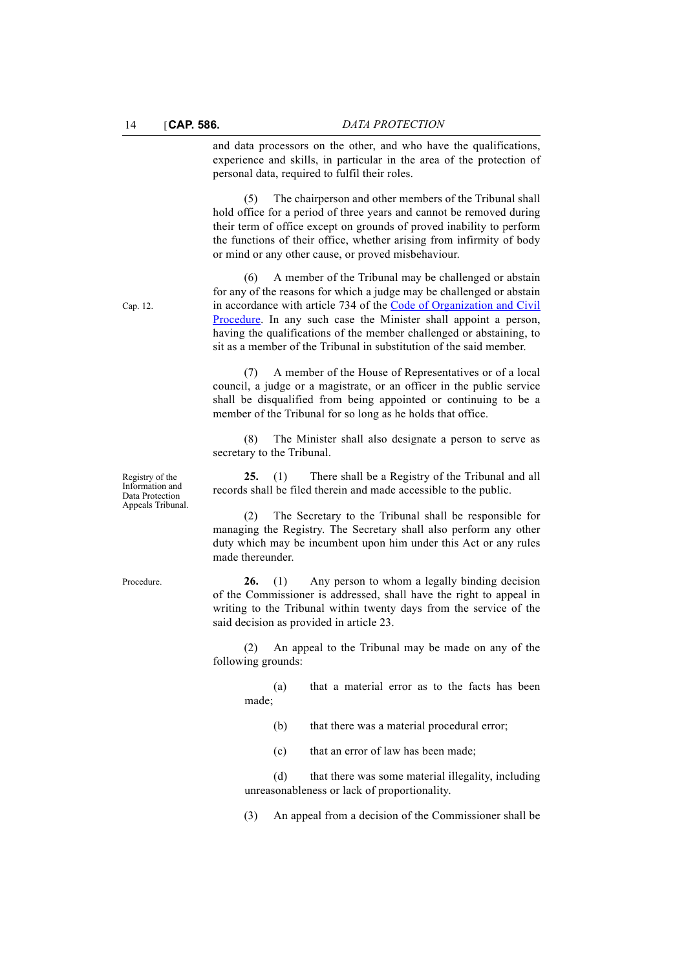and data processors on the other, and who have the qualifications, experience and skills, in particular in the area of the protection of personal data, required to fulfil their roles.

(5) The chairperson and other members of the Tribunal shall hold office for a period of three years and cannot be removed during their term of office except on grounds of proved inability to perform the functions of their office, whether arising from infirmity of body or mind or any other cause, or proved misbehaviour.

(6) A member of the Tribunal may be challenged or abstain for any of the reasons for which a judge may be challenged or abstain in accordance with article 734 of the [Code of Organization and Civil](http://www.justiceservices.gov.mt/DownloadDocument.aspx?app=lom&itemid=8577&l=1) [Procedure](http://www.justiceservices.gov.mt/DownloadDocument.aspx?app=lom&itemid=8577&l=1). In any such case the Minister shall appoint a person, having the qualifications of the member challenged or abstaining, to sit as a member of the Tribunal in substitution of the said member.

(7) A member of the House of Representatives or of a local council, a judge or a magistrate, or an officer in the public service shall be disqualified from being appointed or continuing to be a member of the Tribunal for so long as he holds that office.

(8) The Minister shall also designate a person to serve as secretary to the Tribunal.

**25.** (1) There shall be a Registry of the Tribunal and all records shall be filed therein and made accessible to the public.

(2) The Secretary to the Tribunal shall be responsible for managing the Registry. The Secretary shall also perform any other duty which may be incumbent upon him under this Act or any rules made thereunder.

Procedure. **26.** (1) Any person to whom a legally binding decision of the Commissioner is addressed, shall have the right to appeal in writing to the Tribunal within twenty days from the service of the said decision as provided in article 23.

> (2) An appeal to the Tribunal may be made on any of the following grounds:

(a) that a material error as to the facts has been made;

(b) that there was a material procedural error;

(c) that an error of law has been made;

(d) that there was some material illegality, including unreasonableness or lack of proportionality.

(3) An appeal from a decision of the Commissioner shall be

Registry of the Information and Data Protection

Appeals Tribunal.

Cap. 12.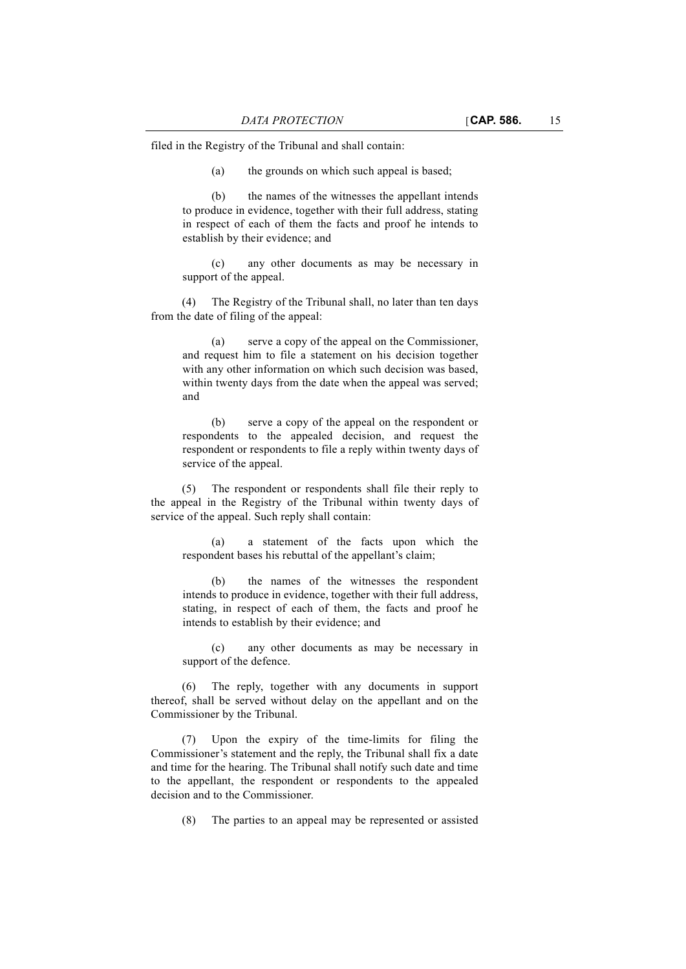filed in the Registry of the Tribunal and shall contain:

(a) the grounds on which such appeal is based;

(b) the names of the witnesses the appellant intends to produce in evidence, together with their full address, stating in respect of each of them the facts and proof he intends to establish by their evidence; and

(c) any other documents as may be necessary in support of the appeal.

(4) The Registry of the Tribunal shall, no later than ten days from the date of filing of the appeal:

(a) serve a copy of the appeal on the Commissioner, and request him to file a statement on his decision together with any other information on which such decision was based, within twenty days from the date when the appeal was served; and

(b) serve a copy of the appeal on the respondent or respondents to the appealed decision, and request the respondent or respondents to file a reply within twenty days of service of the appeal.

(5) The respondent or respondents shall file their reply to the appeal in the Registry of the Tribunal within twenty days of service of the appeal. Such reply shall contain:

(a) a statement of the facts upon which the respondent bases his rebuttal of the appellant's claim;

(b) the names of the witnesses the respondent intends to produce in evidence, together with their full address, stating, in respect of each of them, the facts and proof he intends to establish by their evidence; and

(c) any other documents as may be necessary in support of the defence.

(6) The reply, together with any documents in support thereof, shall be served without delay on the appellant and on the Commissioner by the Tribunal.

(7) Upon the expiry of the time-limits for filing the Commissioner's statement and the reply, the Tribunal shall fix a date and time for the hearing. The Tribunal shall notify such date and time to the appellant, the respondent or respondents to the appealed decision and to the Commissioner.

(8) The parties to an appeal may be represented or assisted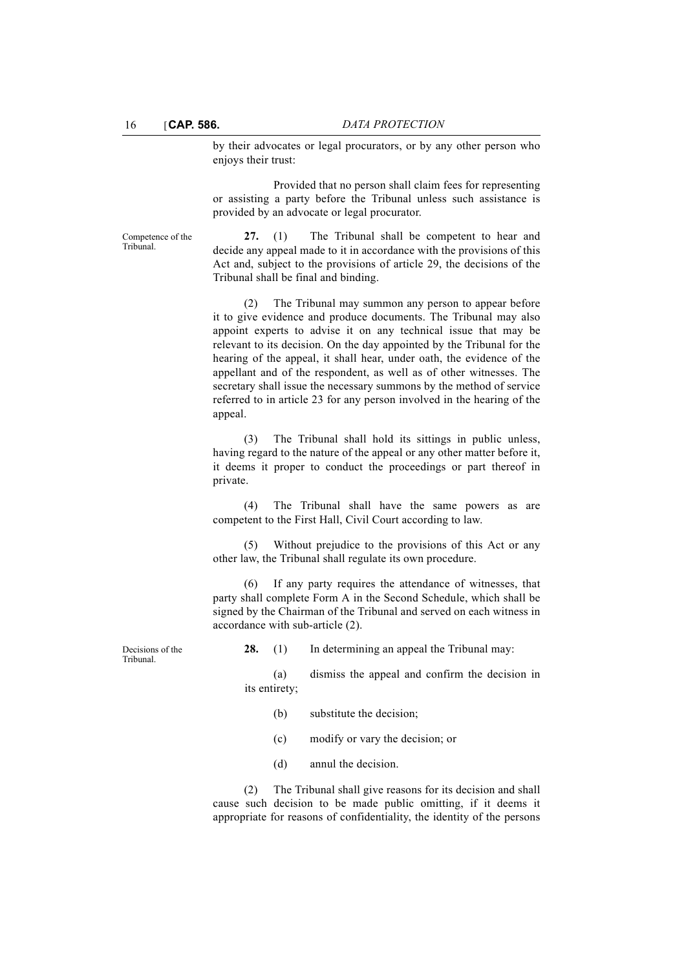by their advocates or legal procurators, or by any other person who enjoys their trust:

Provided that no person shall claim fees for representing or assisting a party before the Tribunal unless such assistance is provided by an advocate or legal procurator.

Competence of the Tribunal.

**27.** (1) The Tribunal shall be competent to hear and decide any appeal made to it in accordance with the provisions of this Act and, subject to the provisions of article 29, the decisions of the Tribunal shall be final and binding.

(2) The Tribunal may summon any person to appear before it to give evidence and produce documents. The Tribunal may also appoint experts to advise it on any technical issue that may be relevant to its decision. On the day appointed by the Tribunal for the hearing of the appeal, it shall hear, under oath, the evidence of the appellant and of the respondent, as well as of other witnesses. The secretary shall issue the necessary summons by the method of service referred to in article 23 for any person involved in the hearing of the appeal.

(3) The Tribunal shall hold its sittings in public unless, having regard to the nature of the appeal or any other matter before it, it deems it proper to conduct the proceedings or part thereof in private.

(4) The Tribunal shall have the same powers as are competent to the First Hall, Civil Court according to law.

(5) Without prejudice to the provisions of this Act or any other law, the Tribunal shall regulate its own procedure.

(6) If any party requires the attendance of witnesses, that party shall complete Form A in the Second Schedule, which shall be signed by the Chairman of the Tribunal and served on each witness in accordance with sub-article (2).

Tribunal.

**28.** (1) In determining an appeal the Tribunal may:

(a) dismiss the appeal and confirm the decision in its entirety;

- (b) substitute the decision;
- (c) modify or vary the decision; or
- (d) annul the decision.

(2) The Tribunal shall give reasons for its decision and shall cause such decision to be made public omitting, if it deems it appropriate for reasons of confidentiality, the identity of the persons

Decisions of the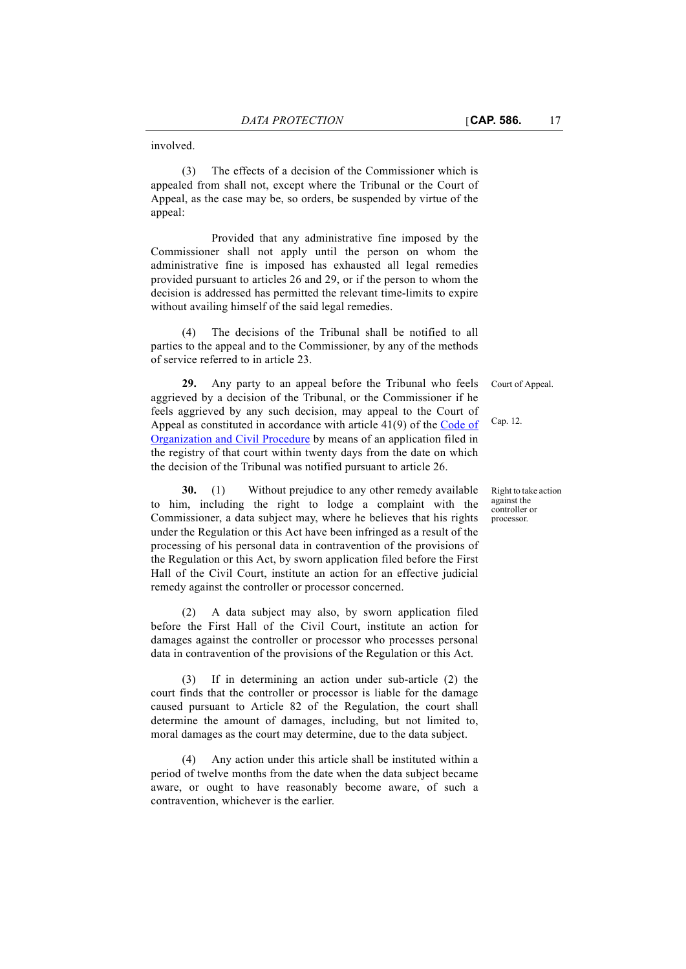involved.

(3) The effects of a decision of the Commissioner which is appealed from shall not, except where the Tribunal or the Court of Appeal, as the case may be, so orders, be suspended by virtue of the appeal:

Provided that any administrative fine imposed by the Commissioner shall not apply until the person on whom the administrative fine is imposed has exhausted all legal remedies provided pursuant to articles 26 and 29, or if the person to whom the decision is addressed has permitted the relevant time-limits to expire without availing himself of the said legal remedies.

The decisions of the Tribunal shall be notified to all parties to the appeal and to the Commissioner, by any of the methods of service referred to in article 23.

**29.** Any party to an appeal before the Tribunal who feels aggrieved by a decision of the Tribunal, or the Commissioner if he feels aggrieved by any such decision, may appeal to the Court of Appeal as constituted in accordance with article 41(9) of the [Code of](http://www.justiceservices.gov.mt/DownloadDocument.aspx?app=lom&itemid=8577&l=1) [Organization and Civil Procedure](http://www.justiceservices.gov.mt/DownloadDocument.aspx?app=lom&itemid=8577&l=1) by means of an application filed in the registry of that court within twenty days from the date on which the decision of the Tribunal was notified pursuant to article 26.

**30.** (1) Without prejudice to any other remedy available to him, including the right to lodge a complaint with the Commissioner, a data subject may, where he believes that his rights under the Regulation or this Act have been infringed as a result of the processing of his personal data in contravention of the provisions of the Regulation or this Act, by sworn application filed before the First Hall of the Civil Court, institute an action for an effective judicial remedy against the controller or processor concerned.

(2) A data subject may also, by sworn application filed before the First Hall of the Civil Court, institute an action for damages against the controller or processor who processes personal data in contravention of the provisions of the Regulation or this Act.

(3) If in determining an action under sub-article (2) the court finds that the controller or processor is liable for the damage caused pursuant to Article 82 of the Regulation, the court shall determine the amount of damages, including, but not limited to, moral damages as the court may determine, due to the data subject.

(4) Any action under this article shall be instituted within a period of twelve months from the date when the data subject became aware, or ought to have reasonably become aware, of such a contravention, whichever is the earlier.

Court of Appeal.

Cap. 12.

Right to take action against the controller or processor.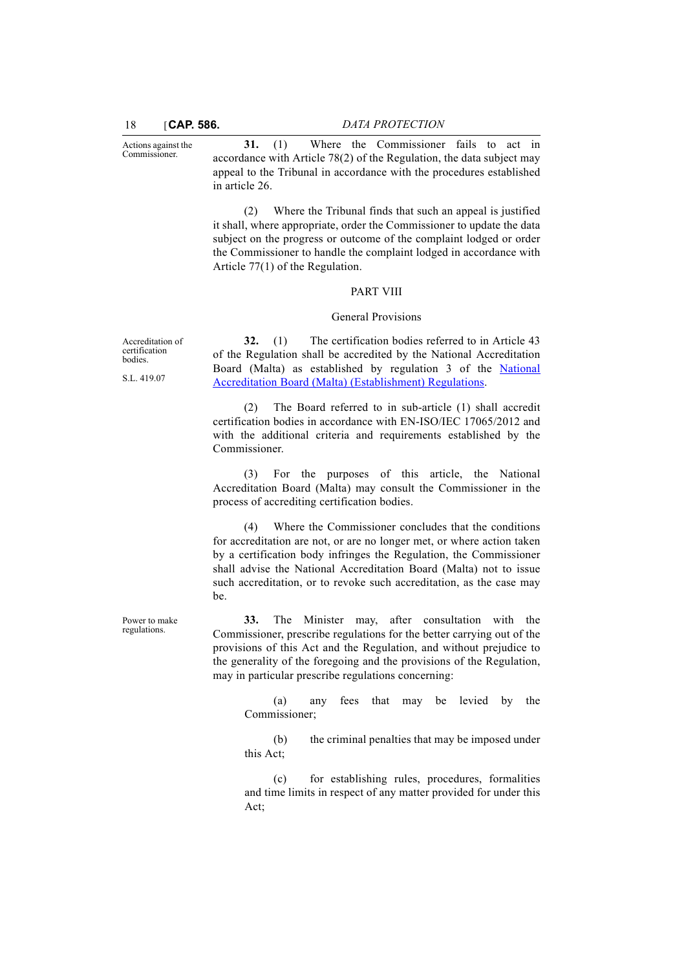Actions against the Commissioner.

18 [**CAP. 586.** *DATA PROTECTION*

**31.** (1) Where the Commissioner fails to act in accordance with Article 78(2) of the Regulation, the data subject may appeal to the Tribunal in accordance with the procedures established in article 26.

(2) Where the Tribunal finds that such an appeal is justified it shall, where appropriate, order the Commissioner to update the data subject on the progress or outcome of the complaint lodged or order the Commissioner to handle the complaint lodged in accordance with Article 77(1) of the Regulation.

#### PART VIII

#### General Provisions

**32.** (1) The certification bodies referred to in Article 43 of the Regulation shall be accredited by the National Accreditation Board (Malta) as established by regulation 3 of the [National](http://www.justiceservices.gov.mt/DownloadDocument.aspx?app=lom&itemid=10655&l=1) [Accreditation Board \(Malta\) \(Establishment\) Regulations](http://www.justiceservices.gov.mt/DownloadDocument.aspx?app=lom&itemid=10655&l=1).

(2) The Board referred to in sub-article (1) shall accredit certification bodies in accordance with EN-ISO/IEC 17065/2012 and with the additional criteria and requirements established by the Commissioner.

(3) For the purposes of this article, the National Accreditation Board (Malta) may consult the Commissioner in the process of accrediting certification bodies.

(4) Where the Commissioner concludes that the conditions for accreditation are not, or are no longer met, or where action taken by a certification body infringes the Regulation, the Commissioner shall advise the National Accreditation Board (Malta) not to issue such accreditation, or to revoke such accreditation, as the case may be.

**33.** The Minister may, after consultation with the Commissioner, prescribe regulations for the better carrying out of the provisions of this Act and the Regulation, and without prejudice to the generality of the foregoing and the provisions of the Regulation, may in particular prescribe regulations concerning:

(a) any fees that may be levied by the Commissioner;

(b) the criminal penalties that may be imposed under this Act;

(c) for establishing rules, procedures, formalities and time limits in respect of any matter provided for under this Act;

Accreditation of certification bodies.

S.L. 419.07

Power to make regulations.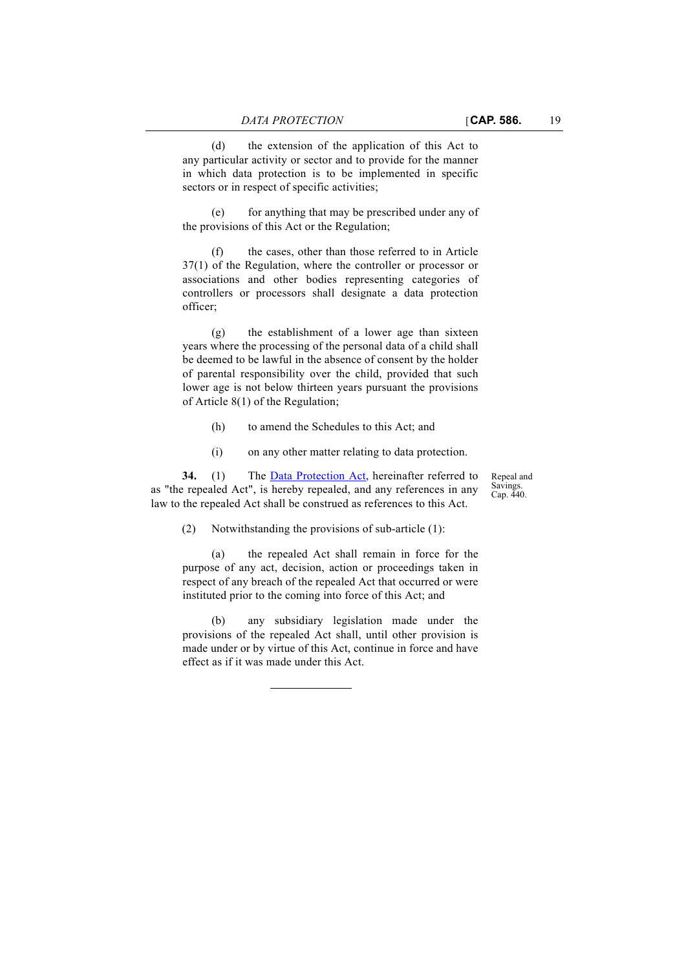(d) the extension of the application of this Act to any particular activity or sector and to provide for the manner in which data protection is to be implemented in specific sectors or in respect of specific activities;

(e) for anything that may be prescribed under any of the provisions of this Act or the Regulation;

(f) the cases, other than those referred to in Article 37(1) of the Regulation, where the controller or processor or associations and other bodies representing categories of controllers or processors shall designate a data protection officer;

(g) the establishment of a lower age than sixteen years where the processing of the personal data of a child shall be deemed to be lawful in the absence of consent by the holder of parental responsibility over the child, provided that such lower age is not below thirteen years pursuant the provisions of Article 8(1) of the Regulation;

- (h) to amend the Schedules to this Act; and
- (i) on any other matter relating to data protection.

**34.** (1) The [Data Protection Act,](http://www.justiceservices.gov.mt/DownloadDocument.aspx?app=lom&itemid=8906&l=1) hereinafter referred to as "the repealed Act", is hereby repealed, and any references in any law to the repealed Act shall be construed as references to this Act.

Repeal and Savings. Cap. 440.

(2) Notwithstanding the provisions of sub-article (1):

(a) the repealed Act shall remain in force for the purpose of any act, decision, action or proceedings taken in respect of any breach of the repealed Act that occurred or were instituted prior to the coming into force of this Act; and

(b) any subsidiary legislation made under the provisions of the repealed Act shall, until other provision is made under or by virtue of this Act, continue in force and have effect as if it was made under this Act.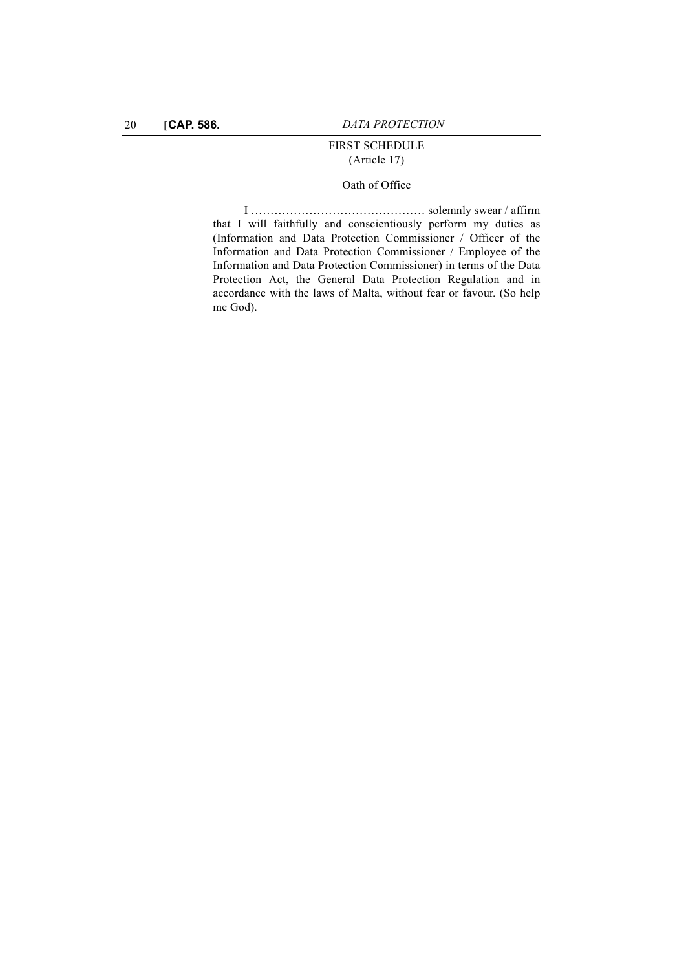# FIRST SCHEDULE (Article 17)

# Oath of Office

I ……………………………………… solemnly swear / affirm that I will faithfully and conscientiously perform my duties as (Information and Data Protection Commissioner / Officer of the Information and Data Protection Commissioner / Employee of the Information and Data Protection Commissioner) in terms of the Data Protection Act, the General Data Protection Regulation and in accordance with the laws of Malta, without fear or favour. (So help me God).